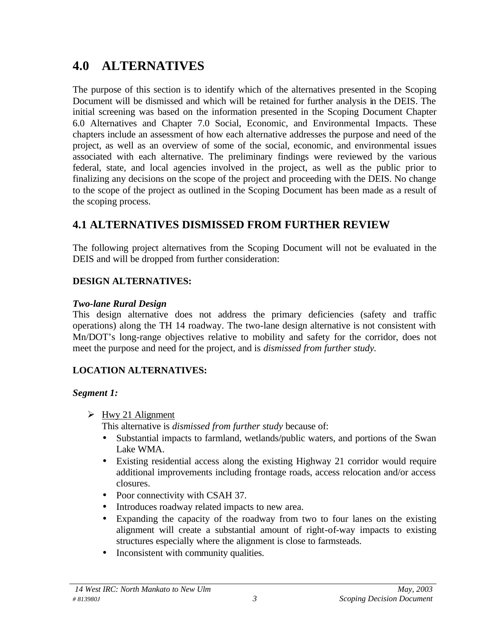# **4.0 ALTERNATIVES**

The purpose of this section is to identify which of the alternatives presented in the Scoping Document will be dismissed and which will be retained for further analysis in the DEIS. The initial screening was based on the information presented in the Scoping Document Chapter 6.0 Alternatives and Chapter 7.0 Social, Economic, and Environmental Impacts. These chapters include an assessment of how each alternative addresses the purpose and need of the project, as well as an overview of some of the social, economic, and environmental issues associated with each alternative. The preliminary findings were reviewed by the various federal, state, and local agencies involved in the project, as well as the public prior to finalizing any decisions on the scope of the project and proceeding with the DEIS. No change to the scope of the project as outlined in the Scoping Document has been made as a result of the scoping process.

# **4.1 ALTERNATIVES DISMISSED FROM FURTHER REVIEW**

The following project alternatives from the Scoping Document will not be evaluated in the DEIS and will be dropped from further consideration:

#### **DESIGN ALTERNATIVES:**

#### *Two-lane Rural Design*

This design alternative does not address the primary deficiencies (safety and traffic operations) along the TH 14 roadway. The two-lane design alternative is not consistent with Mn/DOT's long-range objectives relative to mobility and safety for the corridor, does not meet the purpose and need for the project, and is *dismissed from further study.*

# **LOCATION ALTERNATIVES:**

#### *Segment 1:*

 $\triangleright$  Hwy 21 Alignment

This alternative is *dismissed from further study* because of:

- Substantial impacts to farmland, wetlands/public waters, and portions of the Swan Lake WMA.
- Existing residential access along the existing Highway 21 corridor would require additional improvements including frontage roads, access relocation and/or access closures.
- Poor connectivity with CSAH 37.
- Introduces roadway related impacts to new area.
- Expanding the capacity of the roadway from two to four lanes on the existing alignment will create a substantial amount of right-of-way impacts to existing structures especially where the alignment is close to farmsteads.
- Inconsistent with community qualities.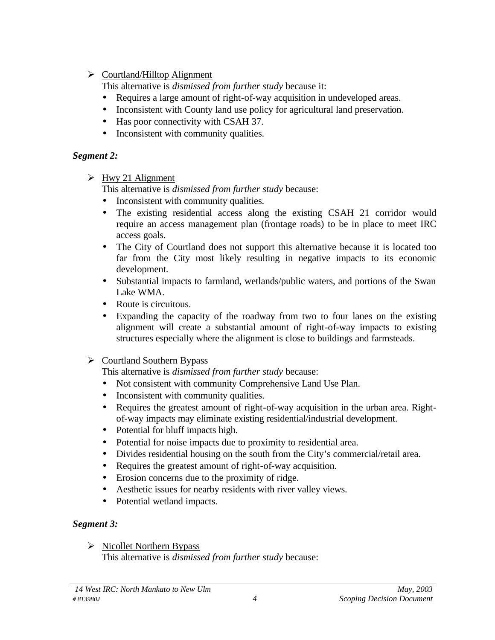$\triangleright$  Courtland/Hilltop Alignment

This alternative is *dismissed from further study* because it:

- Requires a large amount of right-of-way acquisition in undeveloped areas.
- Inconsistent with County land use policy for agricultural land preservation.
- Has poor connectivity with CSAH 37.
- Inconsistent with community qualities.

# *Segment 2:*

 $\triangleright$  Hwy 21 Alignment

This alternative is *dismissed from further study* because:

- Inconsistent with community qualities.
- The existing residential access along the existing CSAH 21 corridor would require an access management plan (frontage roads) to be in place to meet IRC access goals.
- The City of Courtland does not support this alternative because it is located too far from the City most likely resulting in negative impacts to its economic development.
- Substantial impacts to farmland, wetlands/public waters, and portions of the Swan Lake WMA.
- Route is circuitous.
- Expanding the capacity of the roadway from two to four lanes on the existing alignment will create a substantial amount of right-of-way impacts to existing structures especially where the alignment is close to buildings and farmsteads.
- $\triangleright$  Courtland Southern Bypass

This alternative is *dismissed from further study* because:

- Not consistent with community Comprehensive Land Use Plan.
- Inconsistent with community qualities.
- Requires the greatest amount of right-of-way acquisition in the urban area. Rightof-way impacts may eliminate existing residential/industrial development.
- Potential for bluff impacts high.
- Potential for noise impacts due to proximity to residential area.
- Divides residential housing on the south from the City's commercial/retail area.
- Requires the greatest amount of right-of-way acquisition.
- Erosion concerns due to the proximity of ridge.
- Aesthetic issues for nearby residents with river valley views.
- Potential wetland impacts.

# *Segment 3:*

 $\triangleright$  Nicollet Northern Bypass This alternative is *dismissed from further study* because: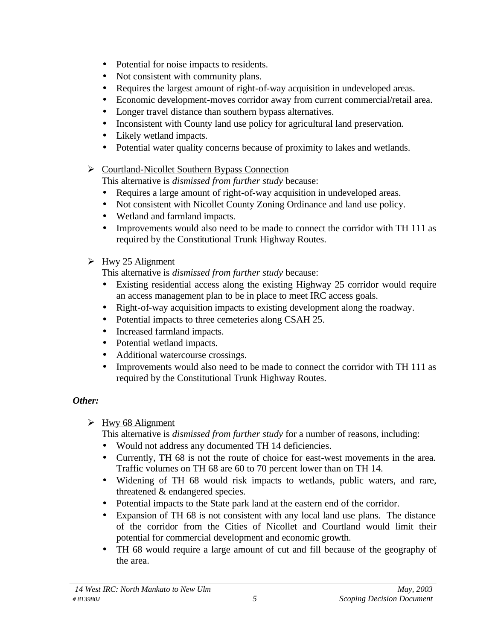- Potential for noise impacts to residents.
- Not consistent with community plans.
- Requires the largest amount of right-of-way acquisition in undeveloped areas.
- Economic development-moves corridor away from current commercial/retail area.
- Longer travel distance than southern bypass alternatives.
- Inconsistent with County land use policy for agricultural land preservation.
- Likely wetland impacts.
- Potential water quality concerns because of proximity to lakes and wetlands.
- $\triangleright$  Courtland-Nicollet Southern Bypass Connection

This alternative is *dismissed from further study* because:

- Requires a large amount of right-of-way acquisition in undeveloped areas.
- Not consistent with Nicollet County Zoning Ordinance and land use policy.
- Wetland and farmland impacts.
- Improvements would also need to be made to connect the corridor with TH 111 as required by the Constitutional Trunk Highway Routes.
- $\triangleright$  Hwy 25 Alignment

This alternative is *dismissed from further study* because:

- Existing residential access along the existing Highway 25 corridor would require an access management plan to be in place to meet IRC access goals.
- Right-of-way acquisition impacts to existing development along the roadway.
- Potential impacts to three cemeteries along CSAH 25.
- Increased farmland impacts.
- Potential wetland impacts.
- Additional watercourse crossings.
- Improvements would also need to be made to connect the corridor with TH 111 as required by the Constitutional Trunk Highway Routes.

# *Other:*

 $\triangleright$  Hwy 68 Alignment

This alternative is *dismissed from further study* for a number of reasons, including:

- Would not address any documented TH 14 deficiencies.
- Currently, TH 68 is not the route of choice for east-west movements in the area. Traffic volumes on TH 68 are 60 to 70 percent lower than on TH 14.
- Widening of TH 68 would risk impacts to wetlands, public waters, and rare, threatened & endangered species.
- Potential impacts to the State park land at the eastern end of the corridor.
- Expansion of TH 68 is not consistent with any local land use plans. The distance of the corridor from the Cities of Nicollet and Courtland would limit their potential for commercial development and economic growth.
- TH 68 would require a large amount of cut and fill because of the geography of the area.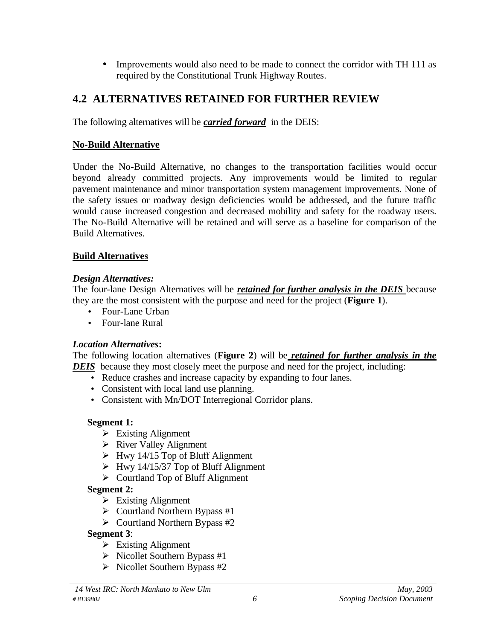• Improvements would also need to be made to connect the corridor with TH 111 as required by the Constitutional Trunk Highway Routes.

# **4.2 ALTERNATIVES RETAINED FOR FURTHER REVIEW**

The following alternatives will be *carried forward* in the DEIS:

#### **No-Build Alternative**

Under the No-Build Alternative, no changes to the transportation facilities would occur beyond already committed projects. Any improvements would be limited to regular pavement maintenance and minor transportation system management improvements. None of the safety issues or roadway design deficiencies would be addressed, and the future traffic would cause increased congestion and decreased mobility and safety for the roadway users. The No-Build Alternative will be retained and will serve as a baseline for comparison of the Build Alternatives.

#### **Build Alternatives**

#### *Design Alternatives:*

The four-lane Design Alternatives will be *retained for further analysis in the DEIS* because they are the most consistent with the purpose and need for the project (**Figure 1**).

- Four-Lane Urban
- Four-lane Rural

#### *Location Alternatives***:**

The following location alternatives (**Figure 2**) will be *retained for further analysis in the DEIS* because they most closely meet the purpose and need for the project, including:

- Reduce crashes and increase capacity by expanding to four lanes.
- Consistent with local land use planning.
- Consistent with Mn/DOT Interregional Corridor plans.

# **Segment 1:**

- ÿ Existing Alignment
- $\triangleright$  River Valley Alignment
- $\triangleright$  Hwy 14/15 Top of Bluff Alignment
- $\triangleright$  Hwy 14/15/37 Top of Bluff Alignment
- $\triangleright$  Courtland Top of Bluff Alignment

# **Segment 2:**

- $\triangleright$  Existing Alignment
- $\triangleright$  Courtland Northern Bypass #1
- $\triangleright$  Courtland Northern Bypass #2
- **Segment 3**:
	- $\triangleright$  Existing Alignment
	- $\triangleright$  Nicollet Southern Bypass #1
	- $\triangleright$  Nicollet Southern Bypass #2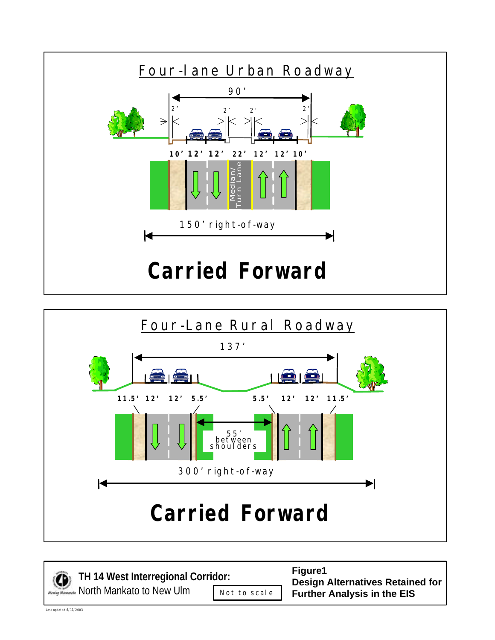